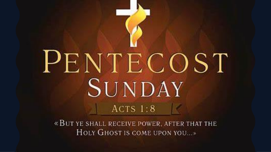# PENTECOST SUNDAY  $ACTS1:8$

«BUT YE SHALL RECEIVE POWER, AFTER THAT THE HOLY GHOST IS COME UPON YOU...»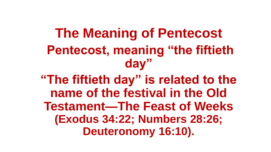### **The Meaning of Pentecost Pentecost, meaning "the fiftieth day"**

**"The fiftieth day" is related to the name of the festival in the Old Testament—The Feast of Weeks (Exodus 34:22; Numbers 28:26; Deuteronomy 16:10).**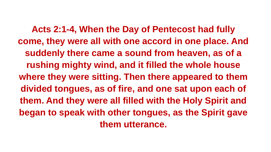**Acts 2:1-4, When the Day of Pentecost had fully come, they were all with one accord in one place. And suddenly there came a sound from heaven, as of a rushing mighty wind, and it filled the whole house where they were sitting. Then there appeared to them divided tongues, as of fire, and one sat upon each of them. And they were all filled with the Holy Spirit and began to speak with other tongues, as the Spirit gave them utterance.**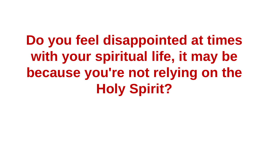**Do you feel disappointed at times with your spiritual life, it may be because you're not relying on the Holy Spirit?**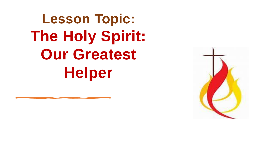**Lesson Topic: The Holy Spirit: Our Greatest Helper**

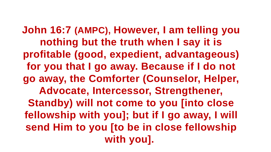**John 16:7 (AMPC), However, I am telling you nothing but the truth when I say it is profitable (good, expedient, advantageous) for you that I go away. Because if I do not go away, the Comforter (Counselor, Helper, Advocate, Intercessor, Strengthener, Standby) will not come to you [into close fellowship with you]; but if I go away, I will send Him to you [to be in close fellowship with you].**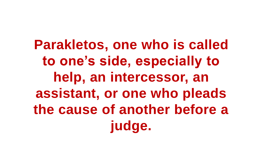**Parakletos, one who is called to one's side, especially to help, an intercessor, an assistant, or one who pleads the cause of another before a judge.**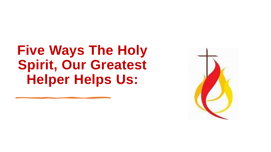### **Five Ways The Holy Spirit, Our Greatest Helper Helps Us:**

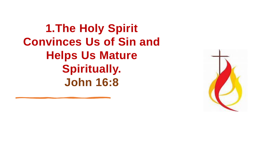**1.The Holy Spirit Convinces Us of Sin and Helps Us Mature Spiritually. John 16:8**

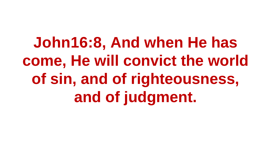**John16:8, And when He has come, He will convict the world of sin, and of righteousness, and of judgment.**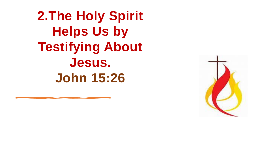**2.The Holy Spirit Helps Us by Testifying About Jesus. John 15:26**

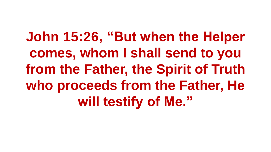**John 15:26, "But when the Helper comes, whom I shall send to you from the Father, the Spirit of Truth who proceeds from the Father, He will testify of Me."**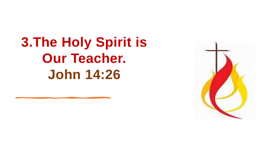**3.The Holy Spirit is Our Teacher. John 14:26**

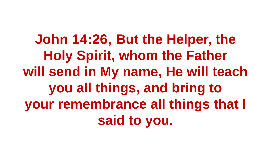**John 14:26, But the Helper, the Holy Spirit, whom the Father will send in My name, He will teach you all things, and bring to your remembrance all things that I said to you.**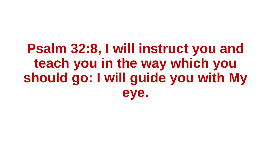### **Psalm 32:8, I will instruct you and teach you in the way which you should go: I will guide you with My eye.**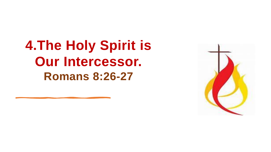**4.The Holy Spirit is Our Intercessor. Romans 8:26-27**

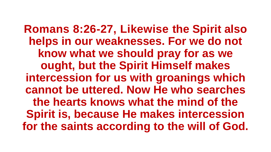**Romans 8:26-27, Likewise the Spirit also helps in our weaknesses. For we do not know what we should pray for as we ought, but the Spirit Himself makes intercession for us with groanings which cannot be uttered. Now He who searches the hearts knows what the mind of the Spirit is, because He makes intercession for the saints according to the will of God.**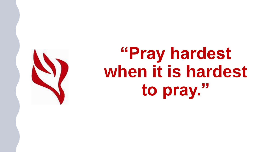

# **"Pray hardest when it is hardest to pray."**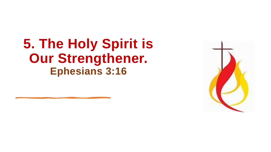#### **5. The Holy Spirit is Our Strengthener. Ephesians 3:16**

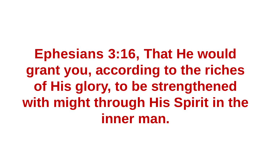**Ephesians 3:16, That He would grant you, according to the riches of His glory, to be strengthened with might through His Spirit in the inner man.**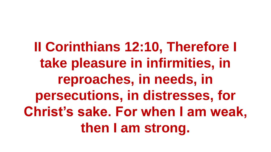**II Corinthians 12:10, Therefore I take pleasure in infirmities, in reproaches, in needs, in persecutions, in distresses, for Christ's sake. For when I am weak, then I am strong.**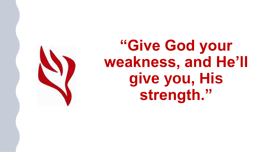

### **"Give God your weakness, and He'll give you, His strength."**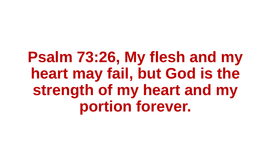**Psalm 73:26, My flesh and my heart may fail, but God is the strength of my heart and my portion forever.**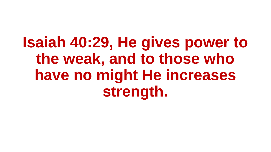**Isaiah 40:29, He gives power to the weak, and to those who have no might He increases strength.**